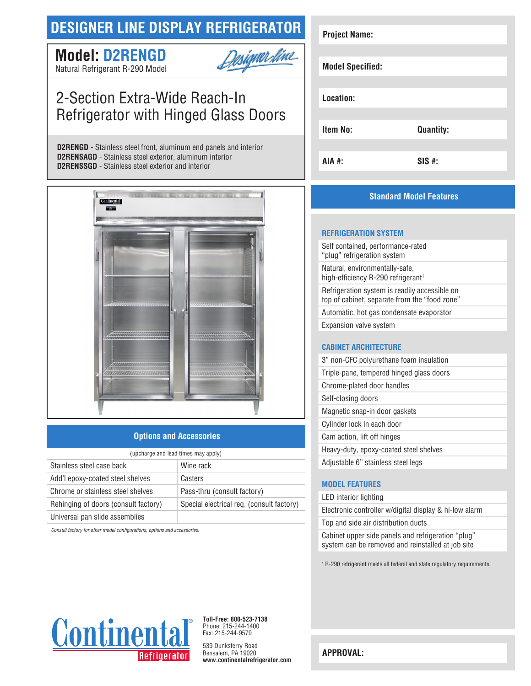## **DESIGNER LINE DISPLAY REFRIGERATOR**

# **Model: D2RENGD**



Natural Refrigerant R-290 Model

## 2-Section Extra-Wide Reach-In Refrigerator with Hinged Glass Doors

**D2RENGD** - Stainless steel front, aluminum end panels and interior **D2RENSAGD** - Stainless steel exterior, aluminum interior **D2RENSSGD** - Stainless steel exterior and interior



## **Options and Accessories**

| (upcharge and lead times may apply)  |                                           |  |
|--------------------------------------|-------------------------------------------|--|
| Stainless steel case back            | Wine rack                                 |  |
| Add'l epoxy-coated steel shelves     | Casters                                   |  |
| Chrome or stainless steel shelves    | Pass-thru (consult factory)               |  |
| Rehinging of doors (consult factory) | Special electrical req. (consult factory) |  |
| Universal pan slide assemblies       |                                           |  |

*Consult factory for other model configurations, options and accessories.*

| <b>Project Name:</b>    |                  |  |
|-------------------------|------------------|--|
| <b>Model Specified:</b> |                  |  |
| Location:               |                  |  |
| <b>Item No:</b>         | <b>Quantity:</b> |  |
| AIA #:                  | $SIS$ #:         |  |

## **Standard Model Features**

#### **REFRIGERATION SYSTEM**

Self contained, performance-rated "plug" refrigeration system Natural, environmentally-safe, high-efficiency R-290 refrigerant<sup>1</sup> Refrigeration system is readily accessible on top of cabinet, separate from the "food zone" Automatic, hot gas condensate evaporator Expansion valve system

### **CABINET ARCHITECTURE**

| 3" non-CFC polyurethane foam insulation  |
|------------------------------------------|
| Triple-pane, tempered hinged glass doors |
| Chrome-plated door handles               |
| Self-closing doors                       |
| Magnetic snap-in door gaskets            |
| Cylinder lock in each door               |
| Cam action, lift off hinges              |
| Heavy-duty, epoxy-coated steel shelves   |
| Adjustable 6" stainless steel legs       |

## **MODEL FEATURES**

#### LED interior lighting

Electronic controller w/digital display & hi-low alarm Top and side air distribution ducts

Cabinet upper side panels and refrigeration "plug" system can be removed and reinstalled at job site

1 R-290 refrigerant meets all federal and state regulatory requirements.



**Toll-Free: 800-523-7138** Phone: 215-244-1400 Fax: 215-244-9579

539 Dunksferry Road Bensalem, PA 19020 **www.continentalrefrigerator.com** 

**APPROVAL:**